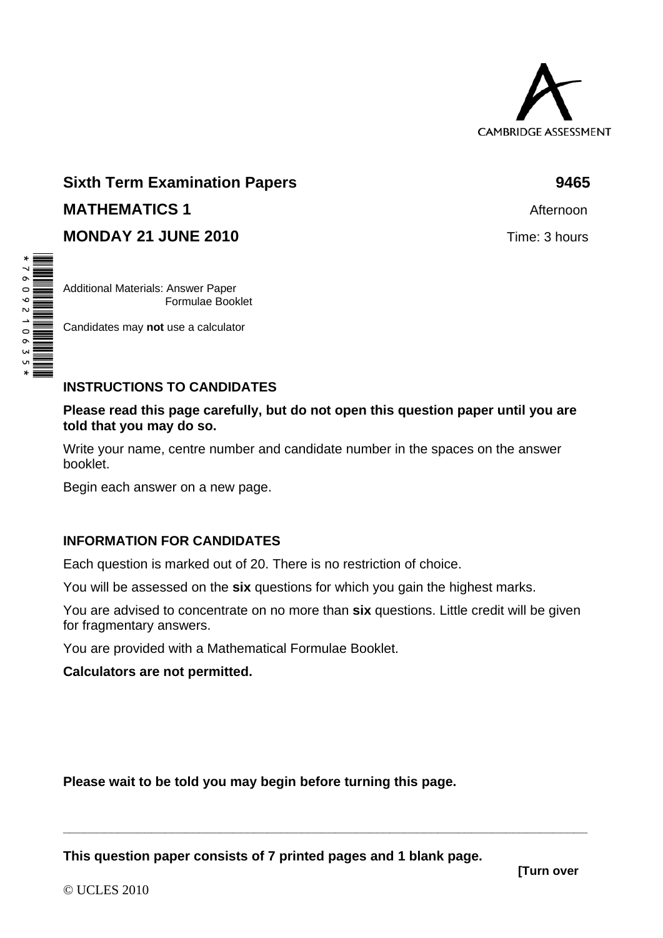

# **Sixth Term Examination Papers 6465 <b>9465 MATHEMATICS 1 MATHEMATICS** 1 **MONDAY 21 JUNE 2010 Time: 3 hours**

Additional Materials: Answer Paper Formulae Booklet

Candidates may **not** use a calculator

# **INSTRUCTIONS TO CANDIDATES**

#### **Please read this page carefully, but do not open this question paper until you are told that you may do so.**

Write your name, centre number and candidate number in the spaces on the answer booklet.

Begin each answer on a new page.

### **INFORMATION FOR CANDIDATES**

Each question is marked out of 20. There is no restriction of choice.

You will be assessed on the **six** questions for which you gain the highest marks.

You are advised to concentrate on no more than **six** questions. Little credit will be given for fragmentary answers.

**\_\_\_\_\_\_\_\_\_\_\_\_\_\_\_\_\_\_\_\_\_\_\_\_\_\_\_\_\_\_\_\_\_\_\_\_\_\_\_\_\_\_\_\_\_\_\_\_\_\_\_\_\_\_\_\_\_\_\_\_\_\_\_\_\_\_\_\_\_\_\_\_\_\_\_\_\_** 

You are provided with a Mathematical Formulae Booklet.

**Calculators are not permitted.** 

**Please wait to be told you may begin before turning this page.** 

**This question paper consists of 7 printed pages and 1 blank page.** 

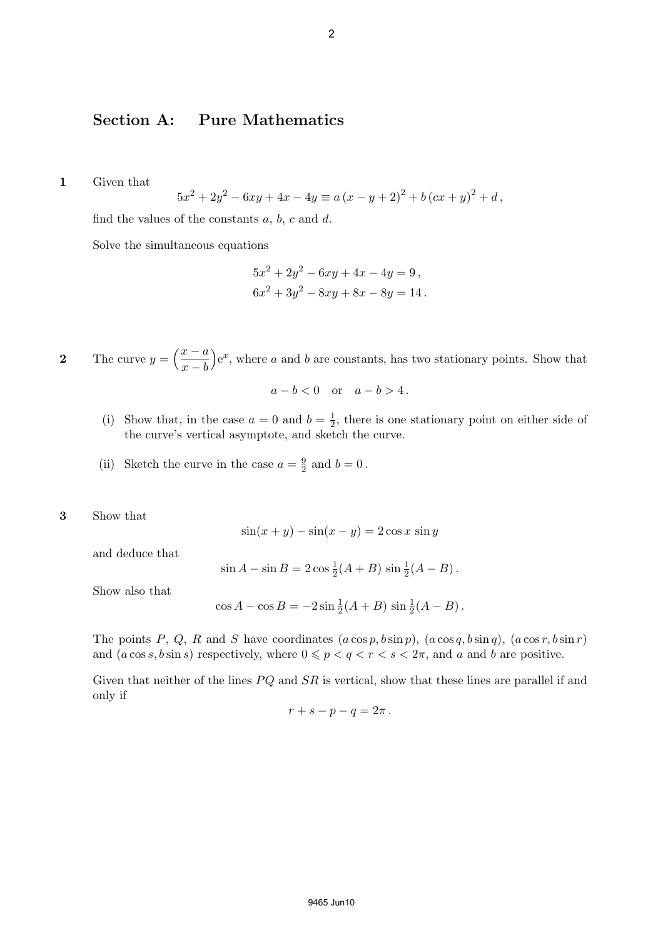#### Section A: Pure Mathematics

1 Given that

$$
5x^{2} + 2y^{2} - 6xy + 4x - 4y \equiv a (x - y + 2)^{2} + b (cx + y)^{2} + d,
$$

find the values of the constants  $a, b, c$  and  $d$ .

Solve the simultaneous equations

$$
5x2 + 2y2 - 6xy + 4x - 4y = 9,
$$
  

$$
6x2 + 3y2 - 8xy + 8x - 8y = 14.
$$

2 The curve  $y = \left(\frac{x-a}{y}\right)^2$  $x - b$ ´  $e^x$ , where a and b are constants, has two stationary points. Show that

$$
a - b < 0 \quad \text{or} \quad a - b > 4 \, .
$$

- (i) Show that, in the case  $a = 0$  and  $b = \frac{1}{2}$  $\frac{1}{2}$ , there is one stationary point on either side of the curve's vertical asymptote, and sketch the curve.
- (ii) Sketch the curve in the case  $a = \frac{9}{2}$  $\frac{9}{2}$  and  $b = 0$ .
- 3 Show that

$$
\sin(x+y) - \sin(x-y) = 2\cos x \sin y
$$

and deduce that

$$
\sin A - \sin B = 2\cos \frac{1}{2}(A+B)\sin \frac{1}{2}(A-B).
$$

Show also that

$$
\cos A - \cos B = -2\sin \frac{1}{2}(A+B)\sin \frac{1}{2}(A-B).
$$

The points P, Q, R and S have coordinates  $(a \cos p, b \sin p)$ ,  $(a \cos q, b \sin q)$ ,  $(a \cos r, b \sin r)$ and  $(a \cos s, b \sin s)$  respectively, where  $0 \leq p < q < r < s < 2\pi$ , and a and b are positive.

Given that neither of the lines  $PQ$  and  $SR$  is vertical, show that these lines are parallel if and only if

$$
r+s-p-q=2\pi.
$$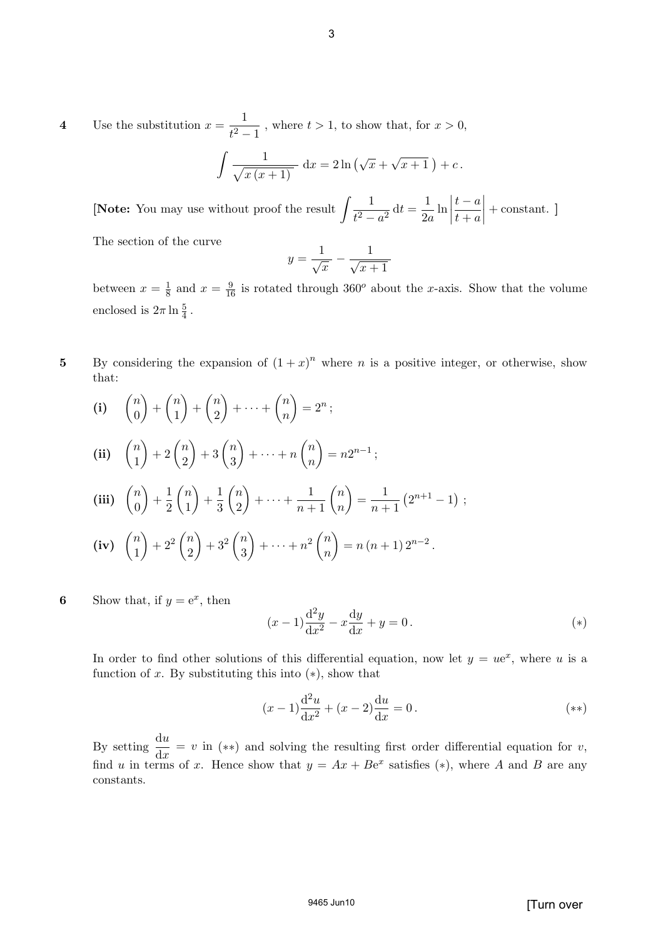4 Use the substitution  $x = \frac{1}{a^2}$  $\frac{1}{t^2-1}$ , where  $t > 1$ , to show that, for  $x > 0$ ,

$$
\int \frac{1}{\sqrt{x(x+1)}} dx = 2\ln\left(\sqrt{x} + \sqrt{x+1}\right) + c.
$$

[Note: You may use without proof the result  $\int \frac{1}{x^2}$  $\frac{1}{t^2 - a^2} dt = \frac{1}{2a}$  $rac{1}{2a}$ ln  $\begin{array}{c} \begin{array}{c} \begin{array}{c} \end{array} \\ \begin{array}{c} \end{array} \end{array} \end{array}$  $t - a$  $t + a$  $\Big| +$  constant. ]

The section of the curve

$$
y = \frac{1}{\sqrt{x}} - \frac{1}{\sqrt{x+1}}
$$

between  $x=\frac{1}{8}$  $\frac{1}{8}$  and  $x = \frac{9}{16}$  is rotated through 360<sup>o</sup> about the x-axis. Show that the volume enclosed is  $2\pi \ln \frac{5}{4}$ .

5 By considering the expansion of  $(1+x)^n$  where *n* is a positive integer, or otherwise, show that:

(i) 
$$
\binom{n}{0} + \binom{n}{1} + \binom{n}{2} + \cdots + \binom{n}{n} = 2^n
$$
;

$$
\textbf{(ii)} \quad \binom{n}{1} + 2\binom{n}{2} + 3\binom{n}{3} + \dots + n\binom{n}{n} = n2^{n-1};
$$

(iii) 
$$
\binom{n}{0} + \frac{1}{2}\binom{n}{1} + \frac{1}{3}\binom{n}{2} + \cdots + \frac{1}{n+1}\binom{n}{n} = \frac{1}{n+1}(2^{n+1}-1)
$$
;

(iv) 
$$
\binom{n}{1} + 2^2 \binom{n}{2} + 3^2 \binom{n}{3} + \dots + n^2 \binom{n}{n} = n(n+1)2^{n-2}
$$
.

6 Show that, if  $y = e^x$ , then

$$
(x-1)\frac{d^2y}{dx^2} - x\frac{dy}{dx} + y = 0.
$$
\n(\*)

In order to find other solutions of this differential equation, now let  $y = ue^x$ , where u is a function of x. By substituting this into  $(*)$ , show that

$$
(x-1)\frac{d^2u}{dx^2} + (x-2)\frac{du}{dx} = 0.
$$
\n<sup>(\*\*)</sup>

By setting  $\frac{du}{dt}$  $\frac{d\mathbf{x}}{dx} = v$  in (\*\*) and solving the resulting first order differential equation for v, find u in terms of x. Hence show that  $y = Ax + Be^x$  satisfies (\*), where A and B are any constants.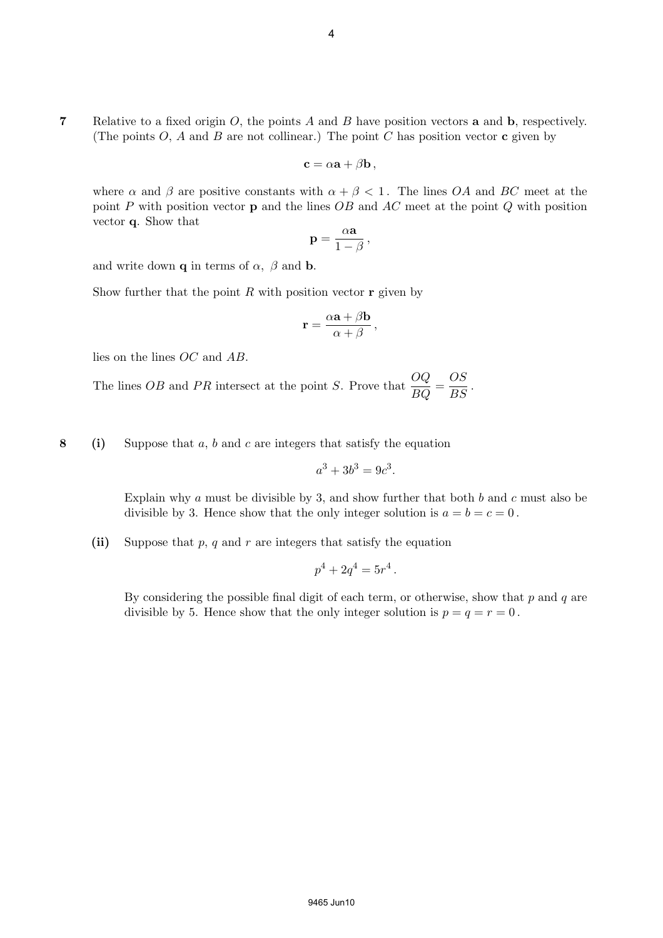7 Relative to a fixed origin  $O$ , the points  $A$  and  $B$  have position vectors **a** and **b**, respectively. (The points  $O$ ,  $A$  and  $B$  are not collinear.) The point  $C$  has position vector  $\bf{c}$  given by

$$
\mathbf{c} = \alpha \mathbf{a} + \beta \mathbf{b},
$$

where  $\alpha$  and  $\beta$  are positive constants with  $\alpha + \beta < 1$ . The lines OA and BC meet at the point P with position vector **p** and the lines  $OB$  and  $AC$  meet at the point  $Q$  with position vector q. Show that

$$
\mathbf{p} = \frac{\alpha \mathbf{a}}{1 - \beta},
$$

and write down **q** in terms of  $\alpha$ ,  $\beta$  and **b**.

Show further that the point  $R$  with position vector  $r$  given by

$$
\mathbf{r} = \frac{\alpha \mathbf{a} + \beta \mathbf{b}}{\alpha + \beta} \,,
$$

lies on the lines OC and AB.

The lines *OB* and *PR* intersect at the point *S*. Prove that  $\frac{OQ}{BQ} = \frac{OS}{BS}$  $\frac{S}{BS}$ .

8 (i) Suppose that a, b and c are integers that satisfy the equation

$$
a^3 + 3b^3 = 9c^3.
$$

Explain why  $a$  must be divisible by 3, and show further that both  $b$  and  $c$  must also be divisible by 3. Hence show that the only integer solution is  $a = b = c = 0$ .

(ii) Suppose that  $p, q$  and  $r$  are integers that satisfy the equation

$$
p^4 + 2q^4 = 5r^4.
$$

By considering the possible final digit of each term, or otherwise, show that  $p$  and  $q$  are divisible by 5. Hence show that the only integer solution is  $p = q = r = 0$ .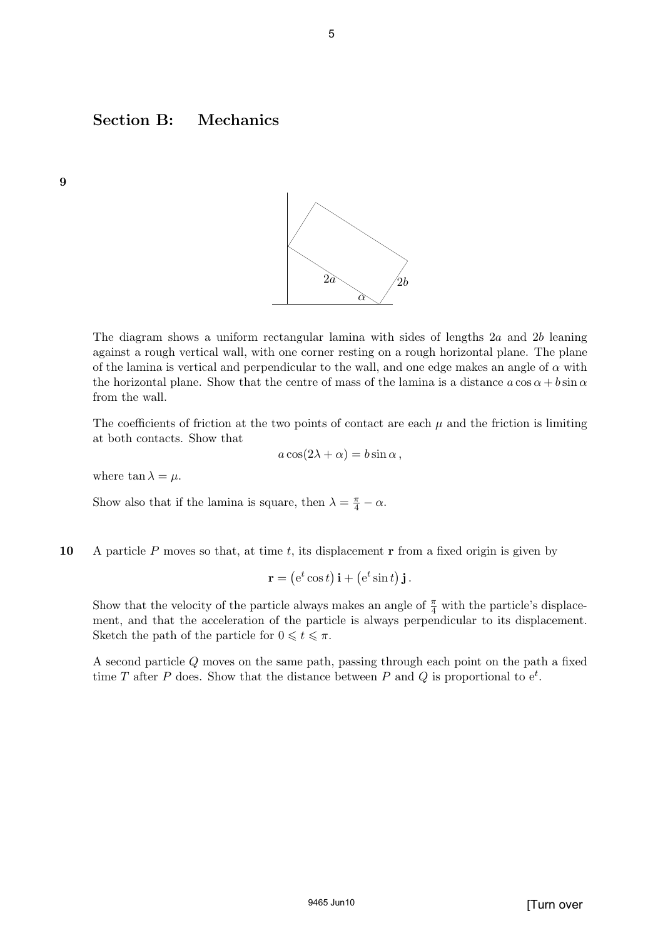## Section B: Mechanics



The diagram shows a uniform rectangular lamina with sides of lengths  $2a$  and  $2b$  leaning against a rough vertical wall, with one corner resting on a rough horizontal plane. The plane of the lamina is vertical and perpendicular to the wall, and one edge makes an angle of  $\alpha$  with the horizontal plane. Show that the centre of mass of the lamina is a distance  $a \cos \alpha + b \sin \alpha$ from the wall.

The coefficients of friction at the two points of contact are each  $\mu$  and the friction is limiting at both contacts. Show that

$$
a\cos(2\lambda+\alpha) = b\sin\alpha\,,
$$

where  $\tan \lambda = \mu$ .

9

Show also that if the lamina is square, then  $\lambda = \frac{\pi}{4} - \alpha$ .

10 A particle P moves so that, at time t, its displacement  $\bf{r}$  from a fixed origin is given by

$$
\mathbf{r} = (e^t \cos t) \mathbf{i} + (e^t \sin t) \mathbf{j}.
$$

Show that the velocity of the particle always makes an angle of  $\frac{\pi}{4}$  with the particle's displacement, and that the acceleration of the particle is always perpendicular to its displacement. Sketch the path of the particle for  $0 \leq t \leq \pi$ .

A second particle Q moves on the same path, passing through each point on the path a fixed time T after P does. Show that the distance between P and Q is proportional to  $e^t$ .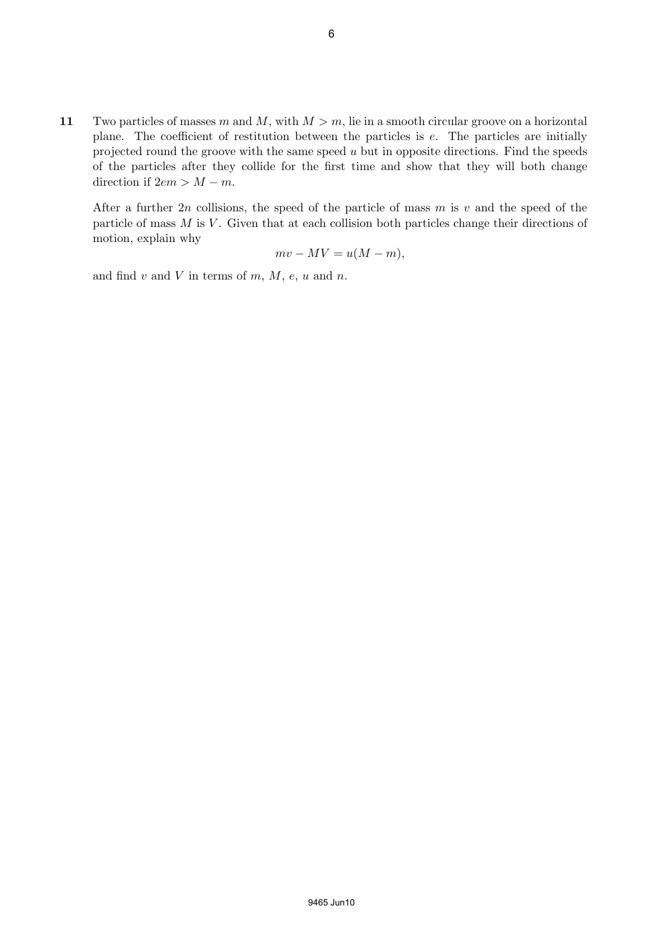11 Two particles of masses m and M, with  $M > m$ , lie in a smooth circular groove on a horizontal plane. The coefficient of restitution between the particles is e. The particles are initially projected round the groove with the same speed  $u$  but in opposite directions. Find the speeds of the particles after they collide for the first time and show that they will both change direction if  $2em > M - m$ .

After a further 2n collisions, the speed of the particle of mass m is v and the speed of the particle of mass  $M$  is  $V$ . Given that at each collision both particles change their directions of motion, explain why

$$
mv - MV = u(M - m),
$$

and find  $v$  and  $V$  in terms of  $m$ ,  $M$ ,  $e$ ,  $u$  and  $n$ .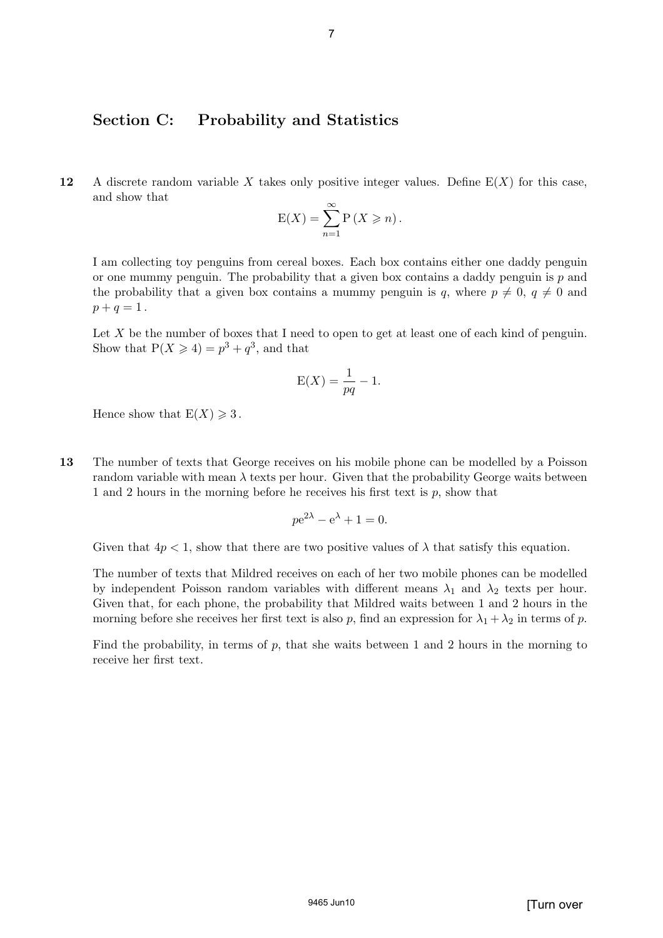#### Section C: Probability and Statistics

12 A discrete random variable X takes only positive integer values. Define  $E(X)$  for this case, and show that

$$
E(X) = \sum_{n=1}^{\infty} P(X \geqslant n).
$$

I am collecting toy penguins from cereal boxes. Each box contains either one daddy penguin or one mummy penguin. The probability that a given box contains a daddy penguin is  $p$  and the probability that a given box contains a mummy penguin is q, where  $p \neq 0$ ,  $q \neq 0$  and  $p + q = 1$ .

Let  $X$  be the number of boxes that I need to open to get at least one of each kind of penguin. Show that  $P(X \ge 4) = p^3 + q^3$ , and that

$$
E(X) = \frac{1}{pq} - 1.
$$

Hence show that  $E(X) \geq 3$ .

13 The number of texts that George receives on his mobile phone can be modelled by a Poisson random variable with mean  $\lambda$  texts per hour. Given that the probability George waits between 1 and 2 hours in the morning before he receives his first text is  $p$ , show that

$$
pe^{2\lambda} - e^{\lambda} + 1 = 0.
$$

Given that  $4p < 1$ , show that there are two positive values of  $\lambda$  that satisfy this equation.

The number of texts that Mildred receives on each of her two mobile phones can be modelled by independent Poisson random variables with different means  $\lambda_1$  and  $\lambda_2$  texts per hour. Given that, for each phone, the probability that Mildred waits between 1 and 2 hours in the morning before she receives her first text is also p, find an expression for  $\lambda_1 + \lambda_2$  in terms of p.

Find the probability, in terms of  $p$ , that she waits between 1 and 2 hours in the morning to receive her first text.